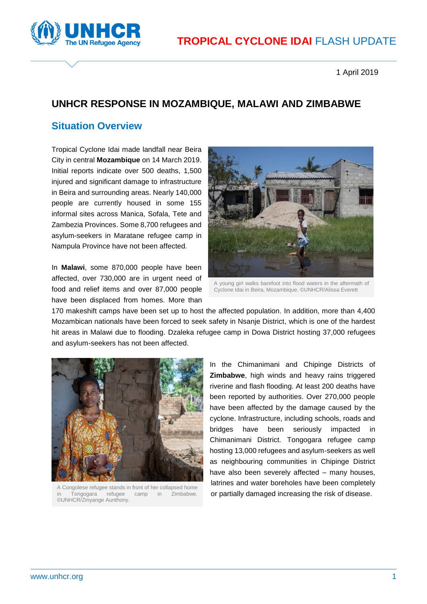

1 April 2019

## **UNHCR RESPONSE IN MOZAMBIQUE, MALAWI AND ZIMBABWE**

#### **Situation Overview**

Tropical Cyclone Idai made landfall near Beira City in central **Mozambique** on 14 March 2019. Initial reports indicate over 500 deaths, 1,500 injured and significant damage to infrastructure in Beira and surrounding areas. Nearly 140,000 people are currently housed in some 155 informal sites across Manica, Sofala, Tete and Zambezia Provinces. Some 8,700 refugees and asylum-seekers in Maratane refugee camp in Nampula Province have not been affected.

In **Malawi**, some 870,000 people have been affected, over 730,000 are in urgent need of food and relief items and over 87,000 people have been displaced from homes. More than



A young girl walks barefoot into flood waters in the aftermath of Cyclone Idai in Beira, Mozambique. ©UNHCR/Alissa Everett

170 makeshift camps have been set up to host the affected population. In addition, more than 4,400 Mozambican nationals have been forced to seek safety in Nsanje District, which is one of the hardest hit areas in Malawi due to flooding. Dzaleka refugee camp in Dowa District hosting 37,000 refugees and asylum-seekers has not been affected.



A Congolese refugee stands in front of her collapsed home Tongogara refugee camp in Zimbabwe. ©UNHCR/Zinyange Aunthony.

In the Chimanimani and Chipinge Districts of **Zimbabwe**, high winds and heavy rains triggered riverine and flash flooding. At least 200 deaths have been reported by authorities. Over 270,000 people have been affected by the damage caused by the cyclone. Infrastructure, including schools, roads and bridges have been seriously impacted in Chimanimani District. Tongogara refugee camp hosting 13,000 refugees and asylum-seekers as well as neighbouring communities in Chipinge District have also been severely affected – many houses, latrines and water boreholes have been completely or partially damaged increasing the risk of disease.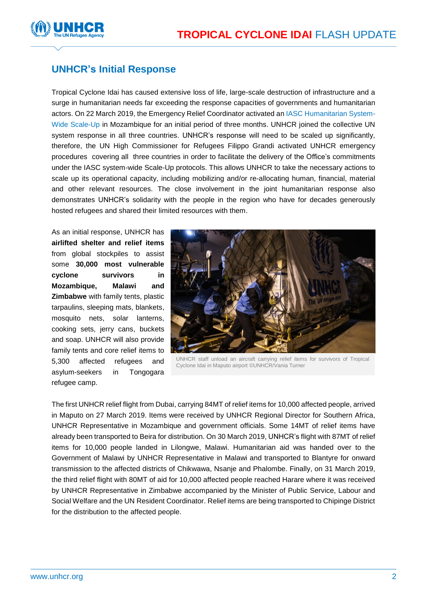

### **UNHCR's Initial Response**

Tropical Cyclone Idai has caused extensive loss of life, large-scale destruction of infrastructure and a surge in humanitarian needs far exceeding the response capacities of governments and humanitarian actors. On 22 March 2019, the Emergency Relief Coordinator activated an [IASC Humanitarian System-](https://eur02.safelinks.protection.outlook.com/?url=https%3A%2F%2Finteragencystandingcommittee.org%2Fiasc-transformative-agenda%2Fcontent%2Fiasc-humanitarian-system-wide-scale-protocols-released&data=02%7C01%7Caikomus%40unhcr.org%7C8be9a0467b2344a4722e08d6b3ad8b81%7Ce5c37981666441348a0c6543d2af80be%7C0%7C0%7C636893955743182407&sdata=JRVZGEQMENQQi%2BHuH3DpnCZQtrBv4ac06NOLxZpQ5fE%3D&reserved=0)[Wide Scale-Up](https://eur02.safelinks.protection.outlook.com/?url=https%3A%2F%2Finteragencystandingcommittee.org%2Fiasc-transformative-agenda%2Fcontent%2Fiasc-humanitarian-system-wide-scale-protocols-released&data=02%7C01%7Caikomus%40unhcr.org%7C8be9a0467b2344a4722e08d6b3ad8b81%7Ce5c37981666441348a0c6543d2af80be%7C0%7C0%7C636893955743182407&sdata=JRVZGEQMENQQi%2BHuH3DpnCZQtrBv4ac06NOLxZpQ5fE%3D&reserved=0) in Mozambique for an initial period of three months. UNHCR joined the collective UN system response in all three countries. UNHCR's response will need to be scaled up significantly, therefore, the UN High Commissioner for Refugees Filippo Grandi activated UNHCR emergency procedures covering all three countries in order to facilitate the delivery of the Office's commitments under the IASC system-wide Scale-Up protocols. This allows UNHCR to take the necessary actions to scale up its operational capacity, including mobilizing and/or re-allocating human, financial, material and other relevant resources. The close involvement in the joint humanitarian response also demonstrates UNHCR's solidarity with the people in the region who have for decades generously hosted refugees and shared their limited resources with them.

As an initial response, UNHCR has **airlifted shelter and relief items**  from global stockpiles to assist some **30,000 most vulnerable cyclone survivors in Mozambique, Malawi and Zimbabwe** with family tents, plastic tarpaulins, sleeping mats, blankets, mosquito nets, solar lanterns, cooking sets, jerry cans, buckets and soap. UNHCR will also provide family tents and core relief items to 5,300 affected refugees and asylum-seekers in Tongogara refugee camp.



UNHCR staff unload an aircraft carrying relief items for survivors of Tropical Cyclone Idai in Maputo airport ©UNHCR/Vania Turner

The first UNHCR relief flight from Dubai, carrying 84MT of relief items for 10,000 affected people, arrived in Maputo on 27 March 2019. Items were received by UNHCR Regional Director for Southern Africa, UNHCR Representative in Mozambique and government officials. Some 14MT of relief items have already been transported to Beira for distribution. On 30 March 2019, UNHCR's flight with 87MT of relief items for 10,000 people landed in Lilongwe, Malawi. Humanitarian aid was handed over to the Government of Malawi by UNHCR Representative in Malawi and transported to Blantyre for onward transmission to the affected districts of Chikwawa, Nsanje and Phalombe. Finally, on 31 March 2019, the third relief flight with 80MT of aid for 10,000 affected people reached Harare where it was received by UNHCR Representative in Zimbabwe accompanied by the Minister of Public Service, Labour and Social Welfare and the UN Resident Coordinator. Relief items are being transported to Chipinge District for the distribution to the affected people.